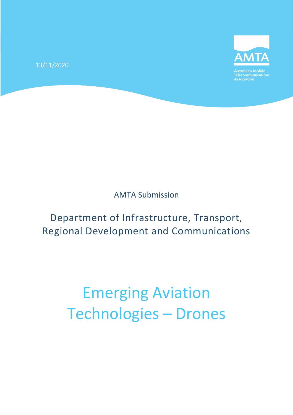13/11/2020



Australian Mobile<br>Telecommunications<br>Association

AMTA Submission

Department of Infrastructure, Transport, Regional Development and Communications

# Emerging Aviation Technologies – Drones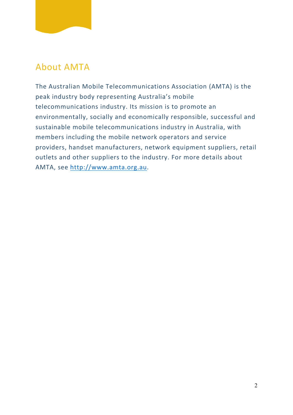# About AMTA

The Australian Mobile Telecommunications Association (AMTA) is the peak industry body representing Australia's mobile telecommunications industry. Its mission is to promote an environmentally, socially and economically responsible, successful and sustainable mobile telecommunications industry in Australia, with members including the mobile network operators and service providers, handset manufacturers, network equipment suppliers, retail outlets and other suppliers to the industry. For more details about AMTA, see [http://www.amta.org.au.](http://www.amta.org.au/)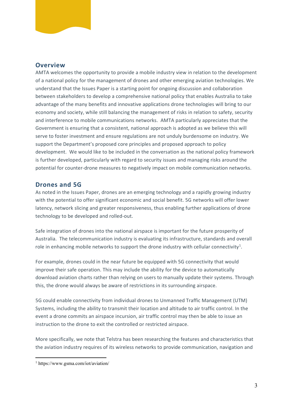#### **Overview**

AMTA welcomes the opportunity to provide a mobile industry view in relation to the development of a national policy for the management of drones and other emerging aviation technologies. We understand that the Issues Paper is a starting point for ongoing discussion and collaboration between stakeholders to develop a comprehensive national policy that enables Australia to take advantage of the many benefits and innovative applications drone technologies will bring to our economy and society, while still balancing the management of risks in relation to safety, security and interference to mobile communications networks. AMTA particularly appreciates that the Government is ensuring that a consistent, national approach is adopted as we believe this will serve to foster investment and ensure regulations are not unduly burdensome on industry. We support the Department's proposed core principles and proposed approach to policy development. We would like to be included in the conversation as the national policy framework is further developed, particularly with regard to security issues and managing risks around the potential for counter-drone measures to negatively impact on mobile communication networks.

#### **Drones and 5G**

As noted in the Issues Paper, drones are an emerging technology and a rapidly growing industry with the potential to offer significant economic and social benefit. 5G networks will offer lower latency, network slicing and greater responsiveness, thus enabling further applications of drone technology to be developed and rolled-out.

Safe integration of drones into the national airspace is important for the future prosperity of Australia. The telecommunication industry is evaluating its infrastructure, standards and overall role in enhancing mobile networks to support the drone industry with cellular connectivity<sup>[1](#page-2-0)</sup>.

For example, drones could in the near future be equipped with 5G connectivity that would improve their safe operation. This may include the ability for the device to automatically download aviation charts rather than relying on users to manually update their systems. Through this, the drone would always be aware of restrictions in its surrounding airspace.

5G could enable connectivity from individual drones to Unmanned Traffic Management (UTM) Systems, including the ability to transmit their location and altitude to air traffic control. In the event a drone commits an airspace incursion, air traffic control may then be able to issue an instruction to the drone to exit the controlled or restricted airspace.

More specifically, we note that Telstra has been researching the features and characteristics that the aviation industry requires of its wireless networks to provide communication, navigation and

<span id="page-2-0"></span><sup>1</sup> https://www.gsma.com/iot/aviation/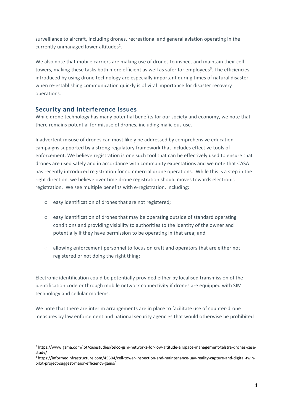surveillance to aircraft, including drones, recreational and general aviation operating in the currently unmanaged lower altitudes<sup>[2](#page-3-0)</sup>.

We also note that mobile carriers are making use of drones to inspect and maintain their cell towers, making these tasks both more efficient as well as safer for employees<sup>[3](#page-3-1)</sup>. The efficiencies introduced by using drone technology are especially important during times of natural disaster when re-establishing communication quickly is of vital importance for disaster recovery operations.

## **Security and Interference Issues**

While drone technology has many potential benefits for our society and economy, we note that there remains potential for misuse of drones, including malicious use.

Inadvertent misuse of drones can most likely be addressed by comprehensive education campaigns supported by a strong regulatory framework that includes effective tools of enforcement. We believe registration is one such tool that can be effectively used to ensure that drones are used safely and in accordance with community expectations and we note that CASA has recently introduced registration for commercial drone operations. While this is a step in the right direction, we believe over time drone registration should moves towards electronic registration. We see multiple benefits with e-registration, including:

- o easy identification of drones that are not registered;
- $\circ$  easy identification of drones that may be operating outside of standard operating conditions and providing visibility to authorities to the identity of the owner and potentially if they have permission to be operating in that area; and
- o allowing enforcement personnel to focus on craft and operators that are either not registered or not doing the right thing;

Electronic identification could be potentially provided either by localised transmission of the identification code or through mobile network connectivity if drones are equipped with SIM technology and cellular modems.

We note that there are interim arrangements are in place to facilitate use of counter-drone measures by law enforcement and national security agencies that would otherwise be prohibited

<span id="page-3-0"></span><sup>2</sup> https://www.gsma.com/iot/casestudies/telco-gsm-networks-for-low-altitude-airspace-management-telstra-drones-casestudy/

<span id="page-3-1"></span><sup>3</sup> https://informedinfrastructure.com/45504/cell-tower-inspection-and-maintenance-uav-reality-capture-and-digital-twinpilot-project-suggest-major-efficiency-gains/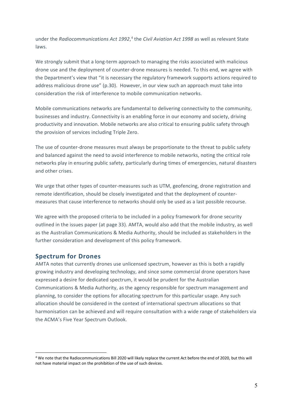under the *Radiocommunications Act 1992*, [4](#page-4-0) the *Civil Aviation Act 1998* as well as relevant State laws.

We strongly submit that a long-term approach to managing the risks associated with malicious drone use and the deployment of counter-drone measures is needed. To this end, we agree with the Department's view that "it is necessary the regulatory framework supports actions required to address malicious drone use" (p.30). However, in our view such an approach must take into consideration the risk of interference to mobile communication networks.

Mobile communications networks are fundamental to delivering connectivity to the community, businesses and industry. Connectivity is an enabling force in our economy and society, driving productivity and innovation. Mobile networks are also critical to ensuring public safety through the provision of services including Triple Zero.

The use of counter-drone measures must always be proportionate to the threat to public safety and balanced against the need to avoid interference to mobile networks, noting the critical role networks play in ensuring public safety, particularly during times of emergencies, natural disasters and other crises.

We urge that other types of counter-measures such as UTM, geofencing, drone registration and remote identification, should be closely investigated and that the deployment of countermeasures that cause interference to networks should only be used as a last possible recourse.

We agree with the proposed criteria to be included in a policy framework for drone security outlined in the issues paper (at page 33). AMTA, would also add that the mobile industry, as well as the Australian Communications & Media Authority, should be included as stakeholders in the further consideration and development of this policy framework.

### **Spectrum for Drones**

AMTA notes that currently drones use unlicensed spectrum, however as this is both a rapidly growing industry and developing technology, and since some commercial drone operators have expressed a desire for dedicated spectrum, it would be prudent for the Australian Communications & Media Authority, as the agency responsible for spectrum management and planning, to consider the options for allocating spectrum for this particular usage. Any such allocation should be considered in the context of international spectrum allocations so that harmonisation can be achieved and will require consultation with a wide range of stakeholders via the ACMA's Five Year Spectrum Outlook.

<span id="page-4-0"></span><sup>4</sup> We note that the Radiocommunications Bill 2020 will likely replace the current Act before the end of 2020, but this will not have material impact on the prohibition of the use of such devices.